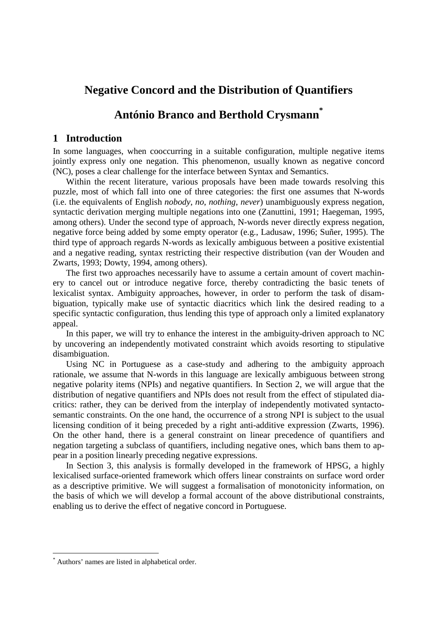# **Negative Concord and the Distribution of Quantifiers**

# **António Branco and Berthold Crysmann \***

# **1 Introduction**

In some languages, when cooccurring in a suitable configuration, multiple negative items jointly express only one negation. This phenomenon, usually known as negative concord (NC), poses a clear challenge for the interface between Syntax and Semantics.

Within the recent literature, various proposals have been made towards resolving this puzzle, most of which fall into one of three categories: the first one assumes that N-words (i.e. the equivalents of English *nobody*, *no*, *nothing*, *never*) unambiguously express negation, syntactic derivation merging multiple negations into one (Zanuttini, 1991; Haegeman, 1995, among others). Under the second type of approach, N-words never directly express negation, negative force being added by some empty operator (e.g., Ladusaw, 1996; Suñer, 1995). The third type of approach regards N-words as lexically ambiguous between a positive existential and a negative reading, syntax restricting their respective distribution (van der Wouden and Zwarts, 1993; Dowty, 1994, among others).

The first two approaches necessarily have to assume a certain amount of covert machinery to cancel out or introduce negative force, thereby contradicting the basic tenets of lexicalist syntax. Ambiguity approaches, however, in order to perform the task of disambiguation, typically make use of syntactic diacritics which link the desired reading to a specific syntactic configuration, thus lending this type of approach only a limited explanatory appeal.

In this paper, we will try to enhance the interest in the ambiguity-driven approach to NC by uncovering an independently motivated constraint which avoids resorting to stipulative disambiguation.

Using NC in Portuguese as a case-study and adhering to the ambiguity approach rationale, we assume that N-words in this language are lexically ambiguous between strong negative polarity items (NPIs) and negative quantifiers. In Section 2, we will argue that the distribution of negative quantifiers and NPIs does not result from the effect of stipulated diacritics: rather, they can be derived from the interplay of independently motivated syntactosemantic constraints. On the one hand, the occurrence of a strong NPI is subject to the usual licensing condition of it being preceded by a right anti-additive expression (Zwarts, 1996). On the other hand, there is a general constraint on linear precedence of quantifiers and negation targeting a subclass of quantifiers, including negative ones, which bans them to appear in a position linearly preceding negative expressions.

In Section 3, this analysis is formally developed in the framework of HPSG, a highly lexicalised surface-oriented framework which offers linear constraints on surface word order as a descriptive primitive. We will suggest a formalisation of monotonicity information, on the basis of which we will develop a formal account of the above distributional constraints, enabling us to derive the effect of negative concord in Portuguese.

 $\overline{a}$ 

Authors' names are listed in alphabetical order.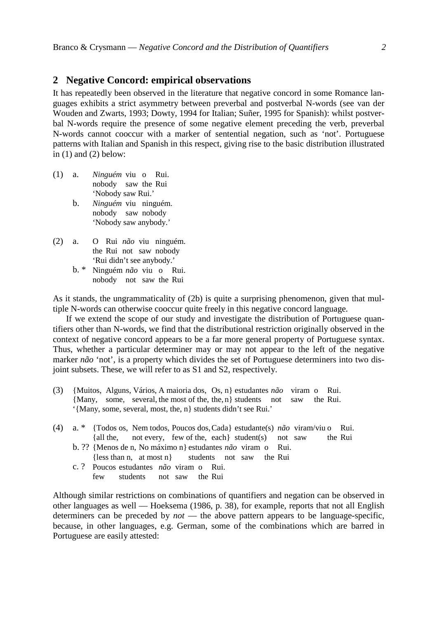# **2 Negative Concord: empirical observations**

It has repeatedly been observed in the literature that negative concord in some Romance languages exhibits a strict asymmetry between preverbal and postverbal N-words (see van der Wouden and Zwarts, 1993; Dowty, 1994 for Italian; Suñer, 1995 for Spanish): whilst postverbal N-words require the presence of some negative element preceding the verb, preverbal N-words cannot cooccur with a marker of sentential negation, such as 'not'. Portuguese patterns with Italian and Spanish in this respect, giving rise to the basic distribution illustrated in  $(1)$  and  $(2)$  below:

- (1) a. *Ninguém* viu o Rui. nobody saw the Rui 'Nobody saw Rui.'
	- b. *Ninguém* viu ninguém. nobody saw nobody 'Nobody saw anybody.'
- (2) a. O Rui *não* viu ninguém. the Rui not saw nobody 'Rui didn't see anybody.'
	- b. \* Ninguém *não* viu o Rui. nobody not saw the Rui

As it stands, the ungrammaticality of (2b) is quite a surprising phenomenon, given that multiple N-words can otherwise cooccur quite freely in this negative concord language.

If we extend the scope of our study and investigate the distribution of Portuguese quantifiers other than N-words, we find that the distributional restriction originally observed in the context of negative concord appears to be a far more general property of Portuguese syntax. Thus, whether a particular determiner may or may not appear to the left of the negative marker *não* 'not', is a property which divides the set of Portuguese determiners into two disjoint subsets. These, we will refer to as S1 and S2, respectively.

- (3) {Muitos, Alguns, Vários, A maioria dos, Os, n} estudantes *não* viram o Rui. {Many, some, several, the most of the, the, n} students not saw the Rui. '{Many, some, several, most, the, n} students didn't see Rui.'
- (4) a. \* {Todos os, Nem todos, Poucos dos,Cada} estudante(s) *não* viram/viu o Rui. {all the, not every, few of the, each} student(s) not saw the Rui
	- b. ?? {Menos de n, No máximo n} estudantes *não* viram o Rui. {less than n, at most n} students not saw the Rui
	- c. ? Poucos estudantes *não* viram o Rui. few students not saw the Rui

Although similar restrictions on combinations of quantifiers and negation can be observed in other languages as well — Hoeksema (1986, p. 38), for example, reports that not all English determiners can be preceded by  $not$  — the above pattern appears to be language-specific, because, in other languages, e.g. German, some of the combinations which are barred in Portuguese are easily attested: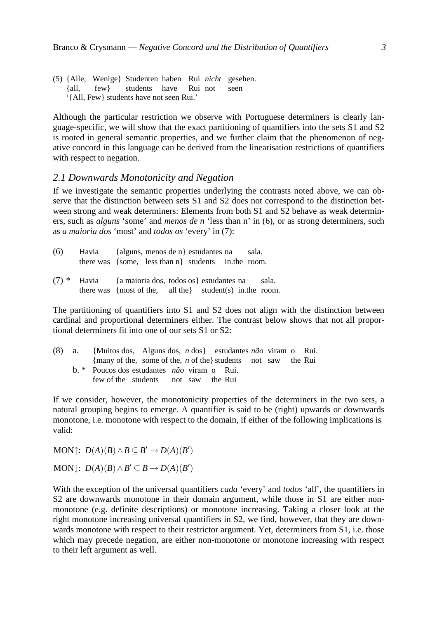(5) {Alle, Wenige} Studenten haben Rui *nicht* gesehen. {all, few} students have Rui not seen '{All, Few} students have not seen Rui.'

Although the particular restriction we observe with Portuguese determiners is clearly language-specific, we will show that the exact partitioning of quantifiers into the sets S1 and S2 is rooted in general semantic properties, and we further claim that the phenomenon of negative concord in this language can be derived from the linearisation restrictions of quantifiers with respect to negation.

#### *2.1 Downwards Monotonicity and Negation*

If we investigate the semantic properties underlying the contrasts noted above, we can observe that the distinction between sets S1 and S2 does not correspond to the distinction between strong and weak determiners: Elements from both S1 and S2 behave as weak determiners, such as *alguns* 'some' and *menos de n* 'less than n' in (6), or as strong determiners, such as *a maioria dos* 'most' and *todos os* 'every' in (7):

| (6) | Havia | {alguns, menos de n} estudantes na                  |  | sala. |
|-----|-------|-----------------------------------------------------|--|-------|
|     |       | there was {some, less than n} students in the room. |  |       |

 $(7)$  \* Havia {a maioria dos, todos os} estudantes na sala. there was {most of the, all the} student(s) in.the room.

The partitioning of quantifiers into S1 and S2 does not align with the distinction between cardinal and proportional determiners either. The contrast below shows that not all proportional determiners fit into one of our sets S1 or S2:

| $(8)$ a. | {Muitos dos, Alguns dos, <i>n</i> dos} estudantes <i>não</i> viram o Rui. |  |  |  |  |  |
|----------|---------------------------------------------------------------------------|--|--|--|--|--|
|          | {many of the, some of the, $n$ of the} students not saw the Rui           |  |  |  |  |  |
|          | b. * Poucos dos estudantes <i>não</i> viram o Rui.                        |  |  |  |  |  |
|          | few of the students not saw the Rui                                       |  |  |  |  |  |

If we consider, however, the monotonicity properties of the determiners in the two sets, a natural grouping begins to emerge. A quantifier is said to be (right) upwards or downwards monotone, i.e. monotone with respect to the domain, if either of the following implications is valid:

 $MON\uparrow$ :  $D(A)(B) \wedge B \subseteq B' \rightarrow D(A)(B')$ 

 $MON\downarrow$ :  $D(A)(B) \wedge B' \subseteq B \rightarrow D(A)(B')$ 

With the exception of the universal quantifiers *cada* 'every' and *todos* 'all', the quantifiers in S2 are downwards monotone in their domain argument, while those in S1 are either nonmonotone (e.g. definite descriptions) or monotone increasing. Taking a closer look at the right monotone increasing universal quantifiers in S2, we find, however, that they are downwards monotone with respect to their restrictor argument. Yet, determiners from S1, i.e. those which may precede negation, are either non-monotone or monotone increasing with respect to their left argument as well.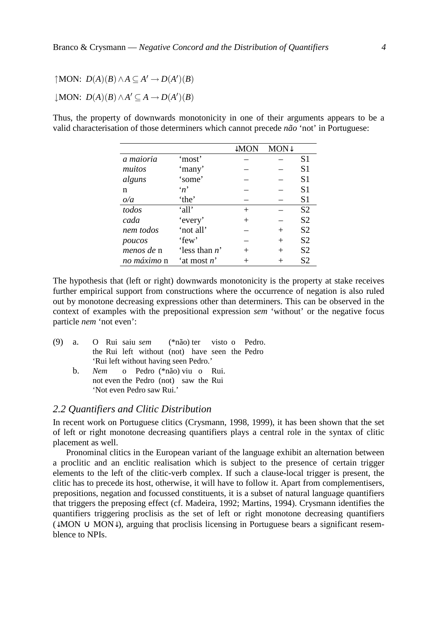↑MON:  $D(A)(B) \wedge A \subseteq A' \rightarrow D(A')(B)$  $\downarrow$ MON: *D*(*A*)(*B*)∧*A*<sup> $\prime$ </sup>⊆*A* → *D*(*A*<sup> $\prime$ </sup>)(*B*)

Thus, the property of downwards monotonicity in one of their arguments appears to be a valid characterisation of those determiners which cannot precede *não* 'not' in Portuguese:

|             |                     | $\downarrow$ MON | MON↓   |                |
|-------------|---------------------|------------------|--------|----------------|
| a maioria   | ʻmost'              |                  |        | S <sub>1</sub> |
| muitos      | 'many'              |                  |        | S <sub>1</sub> |
| alguns      | 'some'              |                  |        | S <sub>1</sub> |
| n           | $\cdot_n$           |                  |        | S <sub>1</sub> |
| o/a         | 'the'               |                  |        | S <sub>1</sub> |
| todos       | 'all'               | $^{+}$           |        | S <sub>2</sub> |
| cada        | 'every'             | $^+$             |        | S <sub>2</sub> |
| nem todos   | 'not all'           |                  | $^{+}$ | S <sub>2</sub> |
| poucos      | 'few'               |                  | $^{+}$ | S <sub>2</sub> |
| menos de n  | 'less than $n$ '    | $^{+}$           | $^{+}$ | S <sub>2</sub> |
| no máximo n | 'at most <i>n</i> ' |                  |        | S <sub>2</sub> |

The hypothesis that (left or right) downwards monotonicity is the property at stake receives further empirical support from constructions where the occurrence of negation is also ruled out by monotone decreasing expressions other than determiners. This can be observed in the context of examples with the prepositional expression *sem* 'without' or the negative focus particle *nem* 'not even':

- (9) a. O Rui saiu *sem* (\*não) ter visto o Pedro. the Rui left without (not) have seen the Pedro 'Rui left without having seen Pedro.'
	- b. *Nem* o Pedro (\*não) viu o Rui. not even the Pedro (not) saw the Rui 'Not even Pedro saw Rui.'

# *2.2 Quantifiers and Clitic Distribution*

In recent work on Portuguese clitics (Crysmann, 1998, 1999), it has been shown that the set of left or right monotone decreasing quantifiers plays a central role in the syntax of clitic placement as well.

Pronominal clitics in the European variant of the language exhibit an alternation between a proclitic and an enclitic realisation which is subject to the presence of certain trigger elements to the left of the clitic-verb complex. If such a clause-local trigger is present, the clitic has to precede its host, otherwise, it will have to follow it. Apart from complementisers, prepositions, negation and focussed constituents, it is a subset of natural language quantifiers that triggers the preposing effect (cf. Madeira, 1992; Martins, 1994). Crysmann identifies the quantifiers triggering proclisis as the set of left or right monotone decreasing quantifiers (↓MON ∪ MON↓), arguing that proclisis licensing in Portuguese bears a significant resemblence to NPIs.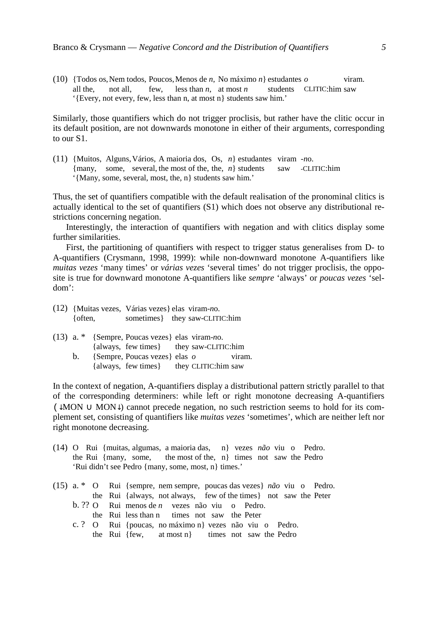(10) {Todos os,Nem todos, Poucos,Menos de *n*, No máximo *n*} estudantes *o* viram. all the, not all, few, less than  $n$ , at most  $n$  students CLITIC:him saw '{Every, not every, few, less than n, at most n} students saw him.'

Similarly, those quantifiers which do not trigger proclisis, but rather have the clitic occur in its default position, are not downwards monotone in either of their arguments, corresponding to our S1.

(11) {Muitos, Alguns,Vários, A maioria dos, Os, *n*} estudantes viram *-n*o.  ${may, some, several, the most of the, the, n} students saw -CLITIC:him$ '{Many, some, several, most, the, n} students saw him.'

Thus, the set of quantifiers compatible with the default realisation of the pronominal clitics is actually identical to the set of quantifiers (S1) which does not observe any distributional restrictions concerning negation.

Interestingly, the interaction of quantifiers with negation and with clitics display some further similarities.

First, the partitioning of quantifiers with respect to trigger status generalises from D- to A-quantifiers (Crysmann, 1998, 1999): while non-downward monotone A-quantifiers like *muitas vezes* 'many times' or *várias vezes* 'several times' do not trigger proclisis, the opposite is true for downward monotone A-quantifiers like *sempre* 'always' or *poucas vezes* 'seldom':

| (12) {Muitas vezes, Várias vezes} elas viram-no. |                                 |
|--------------------------------------------------|---------------------------------|
| { $often,$                                       | sometimes } they saw-CLITIC:him |

|             | (13) a. * {Sempre, Poucas vezes} elas viram-no. |  |        |
|-------------|-------------------------------------------------|--|--------|
|             | {always, few times} they saw-CLITIC:him         |  |        |
| $b_{\cdot}$ | {Sempre, Poucas vezes} elas o                   |  | viram. |
|             | {always, few times} they CLITIC:him saw         |  |        |

In the context of negation, A-quantifiers display a distributional pattern strictly parallel to that of the corresponding determiners: while left or right monotone decreasing A-quantifiers (↓MON ∪ MON↓) cannot precede negation, no such restriction seems to hold for its complement set, consisting of quantifiers like *muitas vezes* 'sometimes', which are neither left nor right monotone decreasing.

- (14) O Rui {muitas, algumas, a maioria das, n} vezes *não* viu o Pedro. the Rui {many, some, the most of the, n} times not saw the Pedro 'Rui didn't see Pedro {many, some, most, n} times.'
- (15) a. \* O Rui {sempre, nem sempre, poucas das vezes} *não* viu o Pedro. the Rui {always, not always, few of the times} not saw the Peter b. ?? O Rui menos de *n* vezes não viu o Pedro. the Rui less than n times not saw the Peter c. ? O Rui {poucas, no máximo n} vezes não viu o Pedro. the Rui {few, at most n} times not saw the Pedro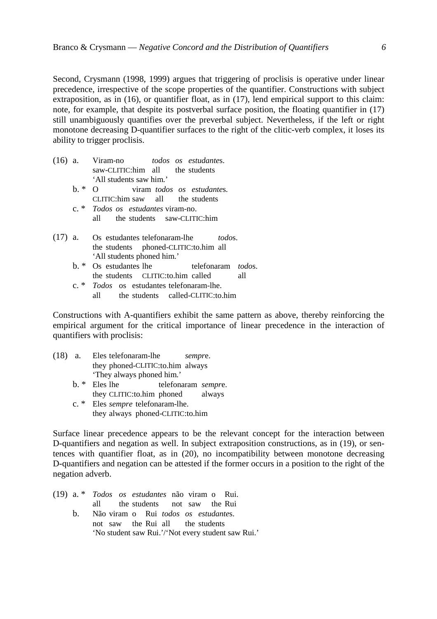Second, Crysmann (1998, 1999) argues that triggering of proclisis is operative under linear precedence, irrespective of the scope properties of the quantifier. Constructions with subject extraposition, as in (16), or quantifier float, as in (17), lend empirical support to this claim: note, for example, that despite its postverbal surface position, the floating quantifier in (17) still unambiguously quantifies over the preverbal subject. Nevertheless, if the left or right monotone decreasing D-quantifier surfaces to the right of the clitic-verb complex, it loses its ability to trigger proclisis.

- (16) a. Viram-no *todos os estudante*s. saw-CLITIC:him all the students 'All students saw him.' b. \* O viram *todos os estudante*s.
	- CLITIC:him saw all the students c. \* *Todos os estudantes* viram-no.
	- all the students saw-CLITIC:him
- (17) a. Os estudantes telefonaram-lhe *todo*s. the students phoned-CLITIC:to.him all 'All students phoned him.'
	- b. \* Os estudantes lhe telefonaram *todo*s. the students CLITIC:to.him called all
	- c. \* *Todos* os estudantes telefonaram-lhe. all the students called-CLITIC:to.him

Constructions with A-quantifiers exhibit the same pattern as above, thereby reinforcing the empirical argument for the critical importance of linear precedence in the interaction of quantifiers with proclisis:

- (18) a. Eles telefonaram-lhe *sempr*e. they phoned-CLITIC:to.him always They always phoned him.'<br>b. \* Eles lhe telefon
	- telefonaram sempre. they CLITIC:to.him phoned always
	- c. \* Eles *sempre* telefonaram-lhe. they always phoned-CLITIC:to.him

Surface linear precedence appears to be the relevant concept for the interaction between D-quantifiers and negation as well. In subject extraposition constructions, as in (19), or sentences with quantifier float, as in (20), no incompatibility between monotone decreasing D-quantifiers and negation can be attested if the former occurs in a position to the right of the negation adverb.

|  | (19) a. * Todos os estudantes não viram o Rui.     |
|--|----------------------------------------------------|
|  | all the students not saw the Rui                   |
|  | b. Não viram o Rui todos os estudantes.            |
|  | not saw the Rui all the students                   |
|  | 'No student saw Rui.'/'Not every student saw Rui.' |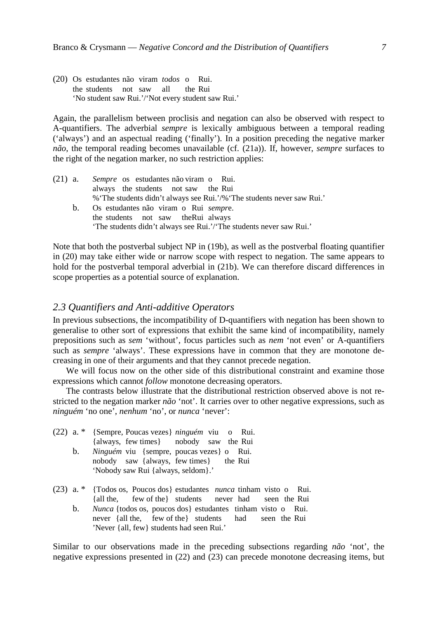(20) Os estudantes não viram *todos* o Rui. the students not saw all the Rui 'No student saw Rui.'/'Not every student saw Rui.'

Again, the parallelism between proclisis and negation can also be observed with respect to A-quantifiers. The adverbial *sempre* is lexically ambiguous between a temporal reading ('always') and an aspectual reading ('finally'). In a position preceding the negative marker *não*, the temporal reading becomes unavailable (cf. (21a)). If, however, *sempre* surfaces to the right of the negation marker, no such restriction applies:

(21) a. *Sempre* os estudantes não viram o Rui. always the students not saw the Rui %'The students didn't always see Rui.'/%'The students never saw Rui.' b. Os estudantes não viram o Rui *sempr*e. the students not saw theRui always 'The students didn't always see Rui.'/'The students never saw Rui.'

Note that both the postverbal subject NP in (19b), as well as the postverbal floating quantifier in (20) may take either wide or narrow scope with respect to negation. The same appears to hold for the postverbal temporal adverbial in (21b). We can therefore discard differences in scope properties as a potential source of explanation.

## *2.3 Quantifiers and Anti-additive Operators*

In previous subsections, the incompatibility of D-quantifiers with negation has been shown to generalise to other sort of expressions that exhibit the same kind of incompatibility, namely prepositions such as *sem* 'without', focus particles such as *nem* 'not even' or A-quantifiers such as *sempre* 'always'. These expressions have in common that they are monotone decreasing in one of their arguments and that they cannot precede negation.

We will focus now on the other side of this distributional constraint and examine those expressions which cannot *follow* monotone decreasing operators.

The contrasts below illustrate that the distributional restriction observed above is not restricted to the negation marker *não* 'not'. It carries over to other negative expressions, such as *ninguém* 'no one', *nenhum* 'no', or *nunca* 'never':

|    |                                    | (22) a. * {Sempre, Poucas vezes} <i>ninguém</i> viu o Rui. |  |  |
|----|------------------------------------|------------------------------------------------------------|--|--|
|    |                                    | {always, few times} nobody saw the Rui                     |  |  |
| b. |                                    | <i>Ninguém</i> viu {sempre, poucas vezes} o Rui.           |  |  |
|    |                                    | nobody saw {always, few times} the Rui                     |  |  |
|    | 'Nobody saw Rui {always, seldom}.' |                                                            |  |  |
|    |                                    |                                                            |  |  |

- (23) a. \* {Todos os, Poucos dos} estudantes *nunca* tinham visto o Rui. {all the, few of the} students never had seen the Rui b. *Nunca* {todos os, poucos dos} estudantes tinham visto o Rui.
	- never {all the, few of the} students had seen the Rui 'Never {all, few} students had seen Rui.'

Similar to our observations made in the preceding subsections regarding *não* 'not', the negative expressions presented in (22) and (23) can precede monotone decreasing items, but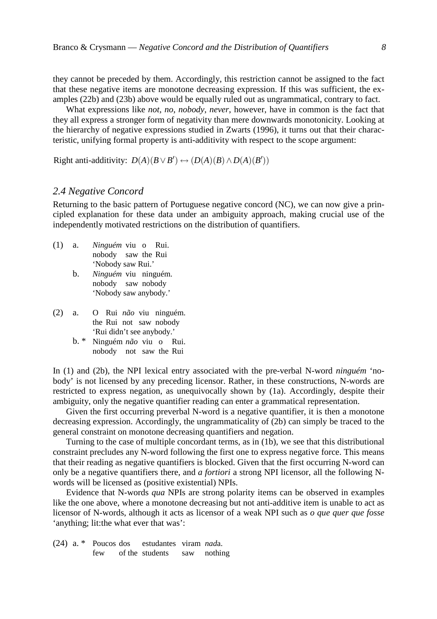they cannot be preceded by them. Accordingly, this restriction cannot be assigned to the fact that these negative items are monotone decreasing expression. If this was sufficient, the examples (22b) and (23b) above would be equally ruled out as ungrammatical, contrary to fact.

What expressions like *not*, *no*, *nobody*, *never*, however, have in common is the fact that they all express a stronger form of negativity than mere downwards monotonicity. Looking at the hierarchy of negative expressions studied in Zwarts (1996), it turns out that their characteristic, unifying formal property is anti-additivity with respect to the scope argument:

Right anti-additivity:  $D(A)(B \lor B') \leftrightarrow (D(A)(B) \land D(A)(B'))$ 

# *2.4 Negative Concord*

Returning to the basic pattern of Portuguese negative concord (NC), we can now give a principled explanation for these data under an ambiguity approach, making crucial use of the independently motivated restrictions on the distribution of quantifiers.

- (1) a. *Ninguém* viu o Rui. nobody saw the Rui 'Nobody saw Rui.'
	- b. *Ninguém* viu ninguém. nobody saw nobody 'Nobody saw anybody.'
- (2) a. O Rui *não* viu ninguém. the Rui not saw nobody 'Rui didn't see anybody.'
	- b. \* Ninguém *não* viu o Rui. nobody not saw the Rui

In (1) and (2b), the NPI lexical entry associated with the pre-verbal N-word *ninguém* 'nobody' is not licensed by any preceding licensor. Rather, in these constructions, N-words are restricted to express negation, as unequivocally shown by (1a). Accordingly, despite their ambiguity, only the negative quantifier reading can enter a grammatical representation.

Given the first occurring preverbal N-word is a negative quantifier, it is then a monotone decreasing expression. Accordingly, the ungrammaticality of (2b) can simply be traced to the general constraint on monotone decreasing quantifiers and negation.

Turning to the case of multiple concordant terms, as in (1b), we see that this distributional constraint precludes any N-word following the first one to express negative force. This means that their reading as negative quantifiers is blocked. Given that the first occurring N-word can only be a negative quantifiers there, and *a fortiori* a strong NPI licensor, all the following Nwords will be licensed as (positive existential) NPIs.

Evidence that N-words *qua* NPIs are strong polarity items can be observed in examples like the one above, where a monotone decreasing but not anti-additive item is unable to act as licensor of N-words, although it acts as licensor of a weak NPI such as *o que quer que fosse* 'anything; lit:the what ever that was':

(24) a. \* Poucos dos estudantes viram *nad*a. few of the students saw nothing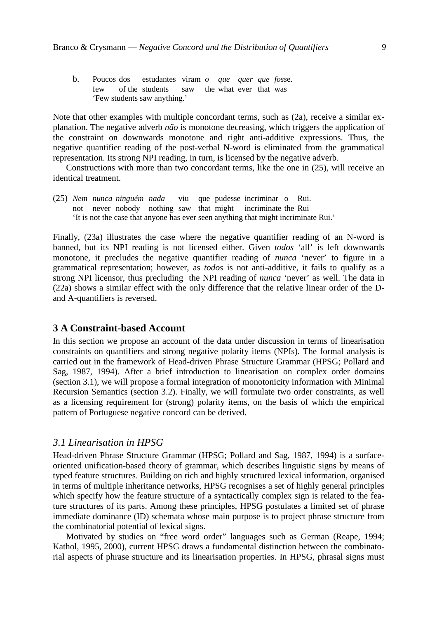b. Poucos dos estudantes viram *o que quer que foss*e. few of the students saw the what ever that was 'Few students saw anything.'

Note that other examples with multiple concordant terms, such as (2a), receive a similar explanation. The negative adverb *não* is monotone decreasing, which triggers the application of the constraint on downwards monotone and right anti-additive expressions. Thus, the negative quantifier reading of the post-verbal N-word is eliminated from the grammatical representation. Its strong NPI reading, in turn, is licensed by the negative adverb.

Constructions with more than two concordant terms, like the one in (25), will receive an identical treatment.

(25) *Nem nunca ninguém nada* viu que pudesse incriminar o Rui. not never nobody nothing saw that might incriminate the Rui 'It is not the case that anyone has ever seen anything that might incriminate Rui.'

Finally, (23a) illustrates the case where the negative quantifier reading of an N-word is banned, but its NPI reading is not licensed either. Given *todos* 'all' is left downwards monotone, it precludes the negative quantifier reading of *nunca* 'never' to figure in a grammatical representation; however, as *todos* is not anti-additive, it fails to qualify as a strong NPI licensor, thus precluding the NPI reading of *nunca* 'never' as well. The data in (22a) shows a similar effect with the only difference that the relative linear order of the Dand A-quantifiers is reversed.

# **3 A Constraint-based Account**

In this section we propose an account of the data under discussion in terms of linearisation constraints on quantifiers and strong negative polarity items (NPIs). The formal analysis is carried out in the framework of Head-driven Phrase Structure Grammar (HPSG; Pollard and Sag, 1987, 1994). After a brief introduction to linearisation on complex order domains (section 3.1), we will propose a formal integration of monotonicity information with Minimal Recursion Semantics (section 3.2). Finally, we will formulate two order constraints, as well as a licensing requirement for (strong) polarity items, on the basis of which the empirical pattern of Portuguese negative concord can be derived.

#### *3.1 Linearisation in HPSG*

Head-driven Phrase Structure Grammar (HPSG; Pollard and Sag, 1987, 1994) is a surfaceoriented unification-based theory of grammar, which describes linguistic signs by means of typed feature structures. Building on rich and highly structured lexical information, organised in terms of multiple inheritance networks, HPSG recognises a set of highly general principles which specify how the feature structure of a syntactically complex sign is related to the feature structures of its parts. Among these principles, HPSG postulates a limited set of phrase immediate dominance (ID) schemata whose main purpose is to project phrase structure from the combinatorial potential of lexical signs.

Motivated by studies on "free word order" languages such as German (Reape, 1994; Kathol, 1995, 2000), current HPSG draws a fundamental distinction between the combinatorial aspects of phrase structure and its linearisation properties. In HPSG, phrasal signs must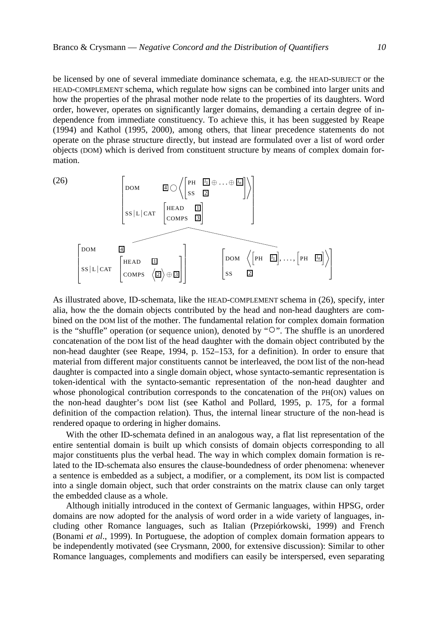be licensed by one of several immediate dominance schemata, e.g. the HEAD-SUBJECT or the HEAD-COMPLEMENT schema, which regulate how signs can be combined into larger units and how the properties of the phrasal mother node relate to the properties of its daughters. Word order, however, operates on significantly larger domains, demanding a certain degree of independence from immediate constituency. To achieve this, it has been suggested by Reape (1994) and Kathol (1995, 2000), among others, that linear precedence statements do not operate on the phrase structure directly, but instead are formulated over a list of word order objects (DOM) which is derived from constituent structure by means of complex domain formation.



As illustrated above, ID-schemata, like the HEAD-COMPLEMENT schema in (26), specify, inter alia, how the the domain objects contributed by the head and non-head daughters are combined on the DOM list of the mother. The fundamental relation for complex domain formation is the "shuffle" operation (or sequence union), denoted by " $\circ$ ". The shuffle is an unordered concatenation of the DOM list of the head daughter with the domain object contributed by the non-head daughter (see Reape, 1994, p. 152–153, for a definition). In order to ensure that material from different major constituents cannot be interleaved, the DOM list of the non-head daughter is compacted into a single domain object, whose syntacto-semantic representation is token-identical with the syntacto-semantic representation of the non-head daughter and whose phonological contribution corresponds to the concatenation of the PH(ON) values on the non-head daughter's DOM list (see Kathol and Pollard, 1995, p. 175, for a formal definition of the compaction relation). Thus, the internal linear structure of the non-head is rendered opaque to ordering in higher domains.

With the other ID-schemata defined in an analogous way, a flat list representation of the entire sentential domain is built up which consists of domain objects corresponding to all major constituents plus the verbal head. The way in which complex domain formation is related to the ID-schemata also ensures the clause-boundedness of order phenomena: whenever a sentence is embedded as a subject, a modifier, or a complement, its DOM list is compacted into a single domain object, such that order constraints on the matrix clause can only target the embedded clause as a whole.

Although initially introduced in the context of Germanic languages, within HPSG, order domains are now adopted for the analysis of word order in a wide variety of languages, including other Romance languages, such as Italian (Przepiórkowski, 1999) and French (Bonami *et al*., 1999). In Portuguese, the adoption of complex domain formation appears to be independently motivated (see Crysmann, 2000, for extensive discussion): Similar to other Romance languages, complements and modifiers can easily be interspersed, even separating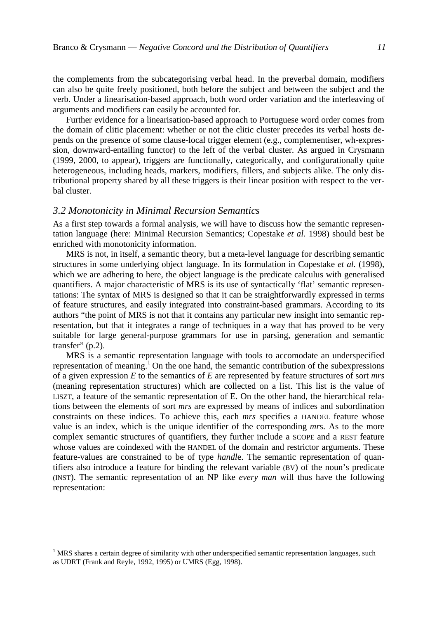the complements from the subcategorising verbal head. In the preverbal domain, modifiers can also be quite freely positioned, both before the subject and between the subject and the verb. Under a linearisation-based approach, both word order variation and the interleaving of arguments and modifiers can easily be accounted for.

Further evidence for a linearisation-based approach to Portuguese word order comes from the domain of clitic placement: whether or not the clitic cluster precedes its verbal hosts depends on the presence of some clause-local trigger element (e.g., complementiser, wh-expression, downward-entailing functor) to the left of the verbal cluster. As argued in Crysmann (1999, 2000, to appear), triggers are functionally, categorically, and configurationally quite heterogeneous, including heads, markers, modifiers, fillers, and subjects alike. The only distributional property shared by all these triggers is their linear position with respect to the verbal cluster.

# *3.2 Monotonicity in Minimal Recursion Semantics*

As a first step towards a formal analysis, we will have to discuss how the semantic representation language (here: Minimal Recursion Semantics; Copestake *et al.* 1998) should best be enriched with monotonicity information.

MRS is not, in itself, a semantic theory, but a meta-level language for describing semantic structures in some underlying object language. In its formulation in Copestake *et al.* (1998), which we are adhering to here, the object language is the predicate calculus with generalised quantifiers. A major characteristic of MRS is its use of syntactically 'flat' semantic representations: The syntax of MRS is designed so that it can be straightforwardly expressed in terms of feature structures, and easily integrated into constraint-based grammars. According to its authors "the point of MRS is not that it contains any particular new insight into semantic representation, but that it integrates a range of techniques in a way that has proved to be very suitable for large general-purpose grammars for use in parsing, generation and semantic transfer" (p.2).

MRS is a semantic representation language with tools to accomodate an underspecified representation of meaning.<sup>1</sup> On the one hand, the semantic contribution of the subexpressions of a given expression *E* to the semantics of *E* are represented by feature structures of sort *mrs* (meaning representation structures) which are collected on a list. This list is the value of LISZT, a feature of the semantic representation of E. On the other hand, the hierarchical relations between the elements of sort *mrs* are expressed by means of indices and subordination constraints on these indices. To achieve this, each *mrs* specifies a HANDEL feature whose value is an index, which is the unique identifier of the corresponding *mr*s. As to the more complex semantic structures of quantifiers, they further include a SCOPE and a REST feature whose values are coindexed with the HANDEL of the domain and restrictor arguments. These feature-values are constrained to be of type *handl*e. The semantic representation of quantifiers also introduce a feature for binding the relevant variable (BV) of the noun's predicate (INST). The semantic representation of an NP like *every man* will thus have the following representation:

 $\overline{a}$ 

 $1$  MRS shares a certain degree of similarity with other underspecified semantic representation languages, such as UDRT (Frank and Reyle, 1992, 1995) or UMRS (Egg, 1998).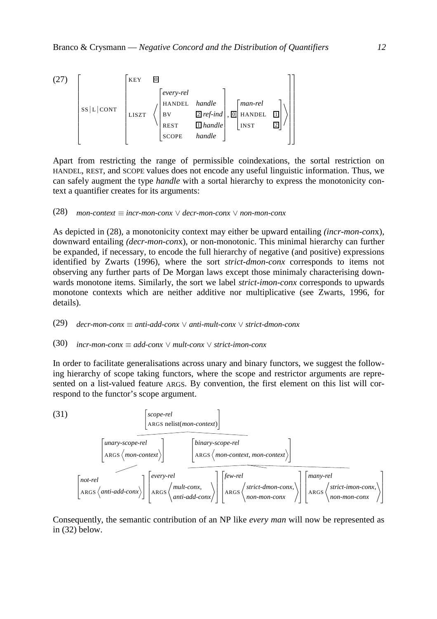

Apart from restricting the range of permissible coindexations, the sortal restriction on HANDEL, REST, and SCOPE values does not encode any useful linguistic information. Thus, we can safely augment the type *handle* with a sortal hierarchy to express the monotonicity context a quantifier creates for its arguments:

(28) *mon-context* 
$$
\equiv
$$
 *incr-mon-conv*  $\lor$  *decr-mon-conv*  $\lor$  *non-mon-conv*

As depicted in (28), a monotonicity context may either be upward entailing *(incr-mon-con*x), downward entailing *(decr-mon-con*x), or non-monotonic. This minimal hierarchy can further be expanded, if necessary, to encode the full hierarchy of negative (and positive) expressions identified by Zwarts (1996), where the sort *strict-dmon-conx* corresponds to items not observing any further parts of De Morgan laws except those minimaly characterising downwards monotone items. Similarly, the sort we label *strict-imon-conx* corresponds to upwards monotone contexts which are neither additive nor multiplicative (see Zwarts, 1996, for details).

#### (29) *decr-mon-conx* ≡ *anti-add-conx* ∨ *anti-mult-conx* ∨ *strict-dmon-conx*

#### (30)  $\text{incr-mon-conv} \equiv \text{add-conv} \lor \text{mult-conv} \lor \text{strict-imon-conv}$

In order to facilitate generalisations across unary and binary functors, we suggest the following hierarchy of scope taking functors, where the scope and restrictor arguments are represented on a list-valued feature ARGS. By convention, the first element on this list will correspond to the functor's scope argument.



Consequently, the semantic contribution of an NP like *every man* will now be represented as in (32) below.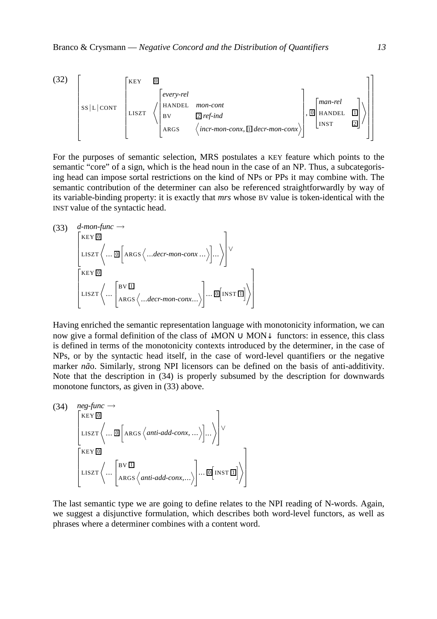

For the purposes of semantic selection, MRS postulates a KEY feature which points to the semantic "core" of a sign, which is the head noun in the case of an NP. Thus, a subcategorising head can impose sortal restrictions on the kind of NPs or PPs it may combine with. The semantic contribution of the determiner can also be referenced straightforwardly by way of its variable-binding property: it is exactly that *mrs* whose BV value is token-identical with the INST value of the syntactic head.

(33) 
$$
d\text{-mon-func} \rightarrow
$$
  
\n
$$
\begin{bmatrix}\n\text{KEY } \overline{\mathbb{O}} \\
\text{LIST} \left\langle \dots \overline{\mathbb{O}} \left[ \text{ARGs} \left\langle \dots \text{decr-mon-conv} \dots \right\rangle \right] \dots \right\rangle\n\end{bmatrix} \vee
$$
\n
$$
\begin{bmatrix}\n\text{KEY } \overline{\mathbb{O}} \\
\text{LIST} \left\langle \dots \left[ \text{BY } \overline{\mathbb{O}} \right]\n\end{bmatrix}
$$
\n
$$
\begin{bmatrix}\n\text{KEY } \overline{\mathbb{O}} \\
\text{URST} \left\langle \dots \left[ \text{ARGs} \left\langle \dots \text{decr-mon-conv} \dots \right\rangle \right] \dots \overline{\mathbb{O}} \left[ \text{INST } \overline{\mathbb{O}} \right] \right\rangle\n\end{bmatrix}
$$

Having enriched the semantic representation language with monotonicity information, we can now give a formal definition of the class of ↓MON ∪ MON↓ functors: in essence, this class is defined in terms of the monotonicity contexts introduced by the determiner, in the case of NPs, or by the syntactic head itself, in the case of word-level quantifiers or the negative marker *nã*o. Similarly, strong NPI licensors can be defined on the basis of anti-additivity. Note that the description in (34) is properly subsumed by the description for downwards monotone functors, as given in (33) above.

(34) 
$$
neg\text{-func} \rightarrow
$$
  
\n
$$
\begin{bmatrix}\n\text{KEY } \overline{\mathbb{O}} \\
\text{LIST} \left\langle \dots \overline{\mathbb{O}} \left[ \text{ARGS} \left\langle \text{anti-add-conv}, \dots \right\rangle \right] \dots \right\rangle\n\end{bmatrix} \vee
$$
\n
$$
\begin{bmatrix}\n\text{KEY } \overline{\mathbb{O}} \\
\text{LIST} \left\langle \dots \left[ \text{BY } \overline{\mathbb{O}} \right]\n\end{bmatrix}
$$
\n
$$
\begin{bmatrix}\n\text{KEY } \overline{\mathbb{O}} \\
\text{LISZT} \left\langle \dots \left[ \text{BVS} \left\langle \text{anti-add-conv}, \dots \right\rangle \right] \dots \overline{\mathbb{O}} \left[ \text{INST } \overline{\mathbb{O}} \right] \right\rangle\n\end{bmatrix}
$$

The last semantic type we are going to define relates to the NPI reading of N-words. Again, we suggest a disjunctive formulation, which describes both word-level functors, as well as phrases where a determiner combines with a content word.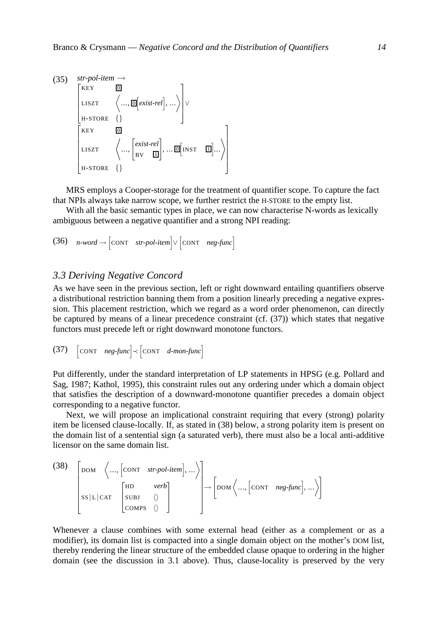

MRS employs a Cooper-storage for the treatment of quantifier scope. To capture the fact that NPIs always take narrow scope, we further restrict the H-STORE to the empty list.

With all the basic semantic types in place, we can now characterise N-words as lexically ambiguous between a negative quantifier and a strong NPI reading:

(36) 
$$
n\text{-word} \rightarrow \begin{bmatrix} \text{CONT} & \text{str-pol-item} \end{bmatrix} \vee \begin{bmatrix} \text{CONT} & \text{neg-func} \end{bmatrix}
$$

#### *3.3 Deriving Negative Concord*

As we have seen in the previous section, left or right downward entailing quantifiers observe a distributional restriction banning them from a position linearly preceding a negative expression. This placement restriction, which we regard as a word order phenomenon, can directly be captured by means of a linear precedence constraint (cf. (37)) which states that negative functors must precede left or right downward monotone functors.

$$
(37) \quad \begin{bmatrix} \text{CONT} & neg-func \end{bmatrix} \prec \begin{bmatrix} \text{CONT} & d\text{-mon-func} \end{bmatrix}
$$

Put differently, under the standard interpretation of LP statements in HPSG (e.g. Pollard and Sag, 1987; Kathol, 1995), this constraint rules out any ordering under which a domain object that satisfies the description of a downward-monotone quantifier precedes a domain object corresponding to a negative functor.

Next, we will propose an implicational constraint requiring that every (strong) polarity item be licensed clause-locally. If, as stated in (38) below, a strong polarity item is present on the domain list of a sentential sign (a saturated verb), there must also be a local anti-additive licensor on the same domain list.

(38) 
$$
\begin{bmatrix} \text{DOM} & \langle ... , [\text{CONT} \text{ str-pol-item}], ... \rangle \\ \text{ss}\left| \text{L}\left| \text{CAT} \right| & \begin{bmatrix} \text{HD} & verb \\ \text{SUBJ} & \langle \rangle \\ \text{COMPS} & \langle \rangle \end{bmatrix} \end{bmatrix} \rightarrow \begin{bmatrix} \text{DOM} \langle ... , [\text{CONT} \text{ neg-func}], ... \rangle \\ \end{bmatrix}
$$

Whenever a clause combines with some external head (either as a complement or as a modifier), its domain list is compacted into a single domain object on the mother's DOM list, thereby rendering the linear structure of the embedded clause opaque to ordering in the higher domain (see the discussion in 3.1 above). Thus, clause-locality is preserved by the very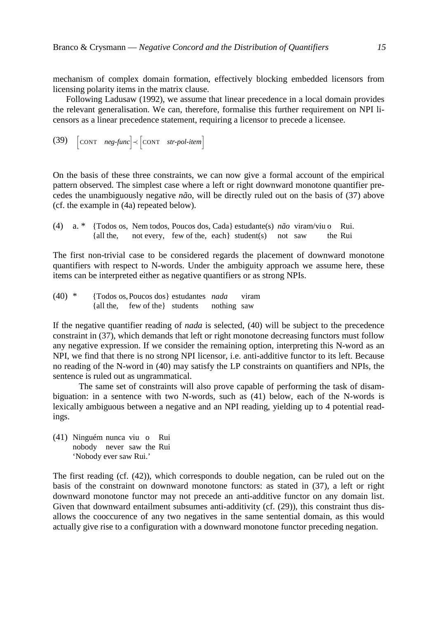mechanism of complex domain formation, effectively blocking embedded licensors from licensing polarity items in the matrix clause.

Following Ladusaw (1992), we assume that linear precedence in a local domain provides the relevant generalisation. We can, therefore, formalise this further requirement on NPI licensors as a linear precedence statement, requiring a licensor to precede a licensee.

 $(39)$   $\begin{bmatrix} \text{CONT} & \text{neg-func} \end{bmatrix} \prec \begin{bmatrix} \text{CONT} & \text{str-pol-item} \end{bmatrix}$ 

On the basis of these three constraints, we can now give a formal account of the empirical pattern observed. The simplest case where a left or right downward monotone quantifier precedes the unambiguously negative *nã*o, will be directly ruled out on the basis of (37) above (cf. the example in (4a) repeated below).

(4) a. \* {Todos os, Nem todos, Poucos dos, Cada} estudante(s) *não* viram/viu o Rui. {all the, not every, few of the, each} student(s) not saw the Rui

The first non-trivial case to be considered regards the placement of downward monotone quantifiers with respect to N-words. Under the ambiguity approach we assume here, these items can be interpreted either as negative quantifiers or as strong NPIs.

(40) \* {Todos os,Poucos dos} estudantes *nada* viram {all the, few of the} students nothing saw

If the negative quantifier reading of *nada* is selected, (40) will be subject to the precedence constraint in (37), which demands that left or right monotone decreasing functors must follow any negative expression. If we consider the remaining option, interpreting this N-word as an NPI, we find that there is no strong NPI licensor, i.e. anti-additive functor to its left. Because no reading of the N-word in (40) may satisfy the LP constraints on quantifiers and NPIs, the sentence is ruled out as ungrammatical.

The same set of constraints will also prove capable of performing the task of disambiguation: in a sentence with two N-words, such as (41) below, each of the N-words is lexically ambiguous between a negative and an NPI reading, yielding up to 4 potential readings.

(41) Ninguém nunca viu o Rui nobody never saw the Rui 'Nobody ever saw Rui.'

The first reading (cf. (42)), which corresponds to double negation, can be ruled out on the basis of the constraint on downward monotone functors: as stated in (37), a left or right downward monotone functor may not precede an anti-additive functor on any domain list. Given that downward entailment subsumes anti-additivity (cf. (29)), this constraint thus disallows the cooccurence of any two negatives in the same sentential domain, as this would actually give rise to a configuration with a downward monotone functor preceding negation.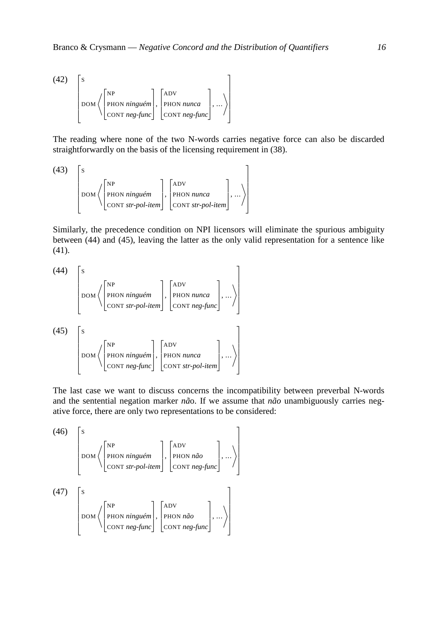(42) 
$$
\begin{bmatrix} s \\ \text{DOM} \\ \text{PHON} \\ \text{CONT} \\ \text{noxT} \\ \text{nonT} \end{bmatrix}, \begin{bmatrix} \text{ADV} \\ \text{PHON} \\ \text{nonT} \\ \text{convT} \\ \text{nonT} \\ \text{nonT} \\ \text{nonT} \end{bmatrix}, \dots \}
$$

The reading where none of the two N-words carries negative force can also be discarded straightforwardly on the basis of the licensing requirement in (38).

(43) 
$$
\begin{bmatrix} S \\ \text{DOM} \\ \text{PHON} \\ \text{CONT} \\ \text{str-pol-item} \end{bmatrix}, \begin{bmatrix} ADV \\ \text{PHON} \\ \text{CNN} \\ \text{CONT} \\ \text{str-pol-item} \end{bmatrix}, \dots \}
$$

Similarly, the precedence condition on NPI licensors will eliminate the spurious ambiguity between (44) and (45), leaving the latter as the only valid representation for a sentence like (41).

(44) 
$$
\begin{bmatrix} s \\ \text{DOM} \left\langle \begin{bmatrix} NP \\ \text{PHON} \text{ } ningu\acute{e}m \\ \text{CONT} \text{ } str-pol-item} \end{bmatrix}, \begin{bmatrix} ADV \\ \text{PHON} \text{ } nunca \\ \text{CONT} \text{ } neg-func \end{bmatrix}, \dots \right\rangle
$$
\n(45) 
$$
\begin{bmatrix} s \\ \text{DOM} \left\langle \begin{bmatrix} NP \\ \text{PHON} \text{ } ningu\acute{e}m \\ \text{CONT} \text{ } neg-func \end{bmatrix}, \begin{bmatrix} ADV \\ \text{PHON} \text{ } nunca \\ \text{CONT} \text{ } str-pol-item \end{bmatrix}, \dots \right\rangle
$$

The last case we want to discuss concerns the incompatibility between preverbal N-words and the sentential negation marker *nã*o. If we assume that *não* unambiguously carries negative force, there are only two representations to be considered:

(46)  
\n
$$
\begin{bmatrix}\ns \text{DOM}\n\end{bmatrix}\n\begin{bmatrix}\n\text{NP} \\
\text{PHON} \text{ninguém} \\
\text{CONT str-pol-item}\n\end{bmatrix},\n\begin{bmatrix}\n\text{ADV} \\
\text{PHON} \text{ não} \\
\text{CONT neg-func}\n\end{bmatrix},...\n\begin{bmatrix}\n\text{S} \\
\text{DOM}\n\end{bmatrix}
$$
\n(47)  
\n
$$
\begin{bmatrix}\n\text{S} \\
\text{DOM}\n\end{bmatrix}\n\begin{bmatrix}\n\text{NP} \\
\text{PHON} \text{ninguém} \\
\text{CONT neg-func}\n\end{bmatrix},\n\begin{bmatrix}\n\text{ADV} \\
\text{PHON} \text{ não} \\
\text{CONT neg-func}\n\end{bmatrix},...\n\begin{bmatrix}\n\text{NIP} \\
\text{PHON} \text{mão} \\
\text{CONT neg-func}\n\end{bmatrix},...
$$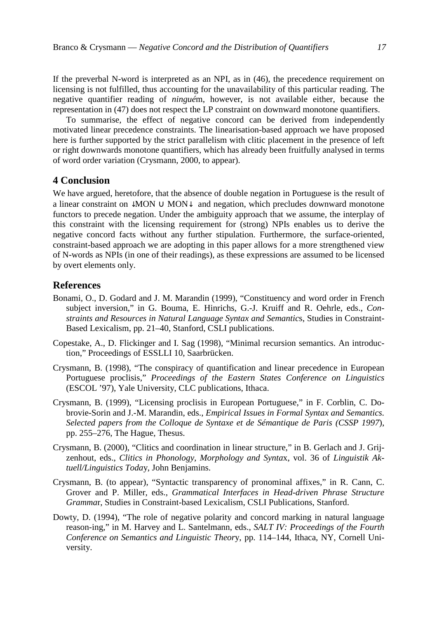If the preverbal N-word is interpreted as an NPI, as in (46), the precedence requirement on licensing is not fulfilled, thus accounting for the unavailability of this particular reading. The negative quantifier reading of *ningué*m, however, is not available either, because the representation in (47) does not respect the LP constraint on downward monotone quantifiers.

To summarise, the effect of negative concord can be derived from independently motivated linear precedence constraints. The linearisation-based approach we have proposed here is further supported by the strict parallelism with clitic placement in the presence of left or right downwards monotone quantifiers, which has already been fruitfully analysed in terms of word order variation (Crysmann, 2000, to appear).

# **4 Conclusion**

We have argued, heretofore, that the absence of double negation in Portuguese is the result of a linear constraint on ↓MON ∪ MON↓ and negation, which precludes downward monotone functors to precede negation. Under the ambiguity approach that we assume, the interplay of this constraint with the licensing requirement for (strong) NPIs enables us to derive the negative concord facts without any further stipulation. Furthermore, the surface-oriented, constraint-based approach we are adopting in this paper allows for a more strengthened view of N-words as NPIs (in one of their readings), as these expressions are assumed to be licensed by overt elements only.

# **References**

- Bonami, O., D. Godard and J. M. Marandin (1999), "Constituency and word order in French subject inversion," in G. Bouma, E. Hinrichs, G.-J. Kruiff and R. Oehrle, eds., *Constraints and Resources in Natural Language Syntax and Semantic*s, Studies in Constraint-Based Lexicalism, pp. 21–40, Stanford, CSLI publications.
- Copestake, A., D. Flickinger and I. Sag (1998), "Minimal recursion semantics. An introduction," Proceedings of ESSLLI 10, Saarbrücken.
- Crysmann, B. (1998), "The conspiracy of quantification and linear precedence in European Portuguese proclisis," *Proceedings of the Eastern States Conference on Linguistics* (ESCOL '97), Yale University, CLC publications, Ithaca.
- Crysmann, B. (1999), "Licensing proclisis in European Portuguese," in F. Corblin, C. Dobrovie-Sorin and J.-M. Marandin, eds., *Empirical Issues in Formal Syntax and Semantics. Selected papers from the Colloque de Syntaxe et de Sémantique de Paris (CSSP 1997*), pp. 255–276, The Hague, Thesus.
- Crysmann, B. (2000), "Clitics and coordination in linear structure," in B. Gerlach and J. Grijzenhout, eds., *Clitics in Phonology, Morphology and Synta*x, vol. 36 of *Linguistik Aktuell/Linguistics Toda*y, John Benjamins.
- Crysmann, B. (to appear), "Syntactic transparency of pronominal affixes," in R. Cann, C. Grover and P. Miller, eds., *Grammatical Interfaces in Head-driven Phrase Structure Gramma*r, Studies in Constraint-based Lexicalism, CSLI Publications, Stanford.
- Dowty, D. (1994), "The role of negative polarity and concord marking in natural language reason-ing," in M. Harvey and L. Santelmann, eds., *SALT IV: Proceedings of the Fourth Conference on Semantics and Linguistic Theor*y, pp. 114–144, Ithaca, NY, Cornell University.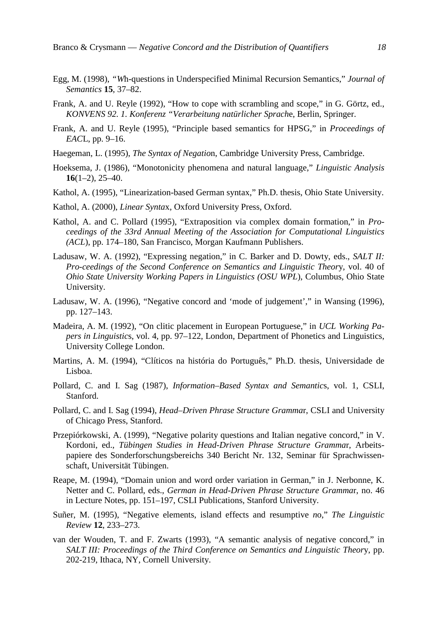- Egg, M. (1998), *"W*h-questions in Underspecified Minimal Recursion Semantics," *Journal of Semantics* **15**, 37–82.
- Frank, A. and U. Reyle (1992), "How to cope with scrambling and scope," in G. Görtz, ed., *KONVENS 92. 1. Konferenz "Verarbeitung natürlicher Sprach*e, Berlin, Springer.
- Frank, A. and U. Reyle (1995), "Principle based semantics for HPSG," in *Proceedings of EAC*L, pp. 9–16.
- Haegeman, L. (1995), *The Syntax of Negatio*n, Cambridge University Press, Cambridge.
- Hoeksema, J. (1986), "Monotonicity phenomena and natural language," *Linguistic Analysis* **16**(1–2), 25–40.
- Kathol, A. (1995), "Linearization-based German syntax," Ph.D. thesis, Ohio State University.
- Kathol, A. (2000), *Linear Synta*x, Oxford University Press, Oxford.
- Kathol, A. and C. Pollard (1995), "Extraposition via complex domain formation," in *Proceedings of the 33rd Annual Meeting of the Association for Computational Linguistics (ACL*), pp. 174–180, San Francisco, Morgan Kaufmann Publishers.
- Ladusaw, W. A. (1992), "Expressing negation," in C. Barker and D. Dowty, eds., *SALT II: Pro-ceedings of the Second Conference on Semantics and Linguistic Theor*y, vol. 40 of *Ohio State University Working Papers in Linguistics (OSU WPL*), Columbus, Ohio State University.
- Ladusaw, W. A. (1996), "Negative concord and 'mode of judgement'," in Wansing (1996), pp. 127–143.
- Madeira, A. M. (1992), "On clitic placement in European Portuguese," in *UCL Working Papers in Linguistic*s, vol. 4, pp. 97–122, London, Department of Phonetics and Linguistics, University College London.
- Martins, A. M. (1994), "Clíticos na história do Português," Ph.D. thesis, Universidade de Lisboa.
- Pollard, C. and I. Sag (1987), *Information–Based Syntax and Semantic*s, vol. 1, CSLI, Stanford.
- Pollard, C. and I. Sag (1994), *Head–Driven Phrase Structure Gramma*r, CSLI and University of Chicago Press, Stanford.
- Przepiórkowski, A. (1999), "Negative polarity questions and Italian negative concord," in V. Kordoni, ed., *Tübingen Studies in Head-Driven Phrase Structure Gramma*r, Arbeitspapiere des Sonderforschungsbereichs 340 Bericht Nr. 132, Seminar für Sprachwissenschaft, Universität Tübingen.
- Reape, M. (1994), "Domain union and word order variation in German," in J. Nerbonne, K. Netter and C. Pollard, eds., *German in Head-Driven Phrase Structure Gramma*r, no. 46 in Lecture Notes, pp. 151–197, CSLI Publications, Stanford University.
- Suñer, M. (1995), "Negative elements, island effects and resumptive *n*o," *The Linguistic Review* **12**, 233–273.
- van der Wouden, T. and F. Zwarts (1993), "A semantic analysis of negative concord," in *SALT III: Proceedings of the Third Conference on Semantics and Linguistic Theor*y, pp. 202-219, Ithaca, NY, Cornell University.